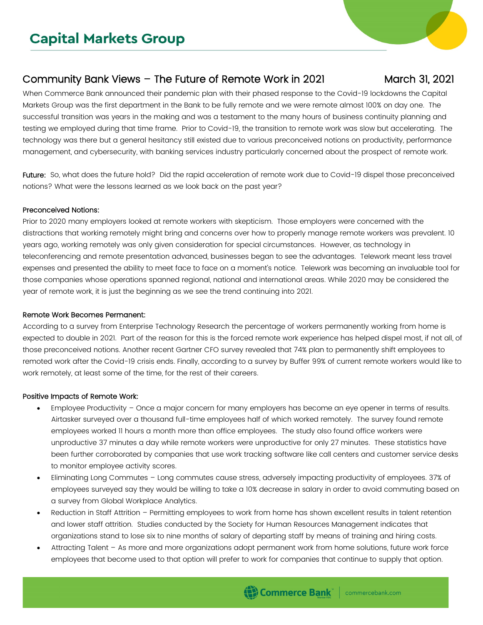# Community Bank Views – The Future of Remote Work in 2021 March 31, 2021

When Commerce Bank announced their pandemic plan with their phased response to the Covid-19 lockdowns the Capital Markets Group was the first department in the Bank to be fully remote and we were remote almost 100% on day one. The successful transition was years in the making and was a testament to the many hours of business continuity planning and testing we employed during that time frame. Prior to Covid-19, the transition to remote work was slow but accelerating. The technology was there but a general hesitancy still existed due to various preconceived notions on productivity, performance management, and cybersecurity, with banking services industry particularly concerned about the prospect of remote work.

Future: So, what does the future hold? Did the rapid acceleration of remote work due to Covid-19 dispel those preconceived notions? What were the lessons learned as we look back on the past year?

#### Preconceived Notions:

Prior to 2020 many employers looked at remote workers with skepticism. Those employers were concerned with the distractions that working remotely might bring and concerns over how to properly manage remote workers was prevalent. 10 years ago, working remotely was only given consideration for special circumstances. However, as technology in teleconferencing and remote presentation advanced, businesses began to see the advantages. Telework meant less travel expenses and presented the ability to meet face to face on a moment's notice. Telework was becoming an invaluable tool for those companies whose operations spanned regional, national and international areas. While 2020 may be considered the year of remote work, it is just the beginning as we see the trend continuing into 2021.

#### Remote Work Becomes Permanent:

According to a survey from Enterprise Technology Research the percentage of workers permanently working from home is expected to double in 2021. Part of the reason for this is the forced remote work experience has helped dispel most, if not all, of those preconceived notions. Another recent Gartner CFO survey revealed that 74% plan to permanently shift employees to remoted work after the Covid-19 crisis ends. Finally, according to a survey by Buffer 99% of current remote workers would like to work remotely, at least some of the time, for the rest of their careers.

## Positive Impacts of Remote Work:

- Employee Productivity Once a major concern for many employers has become an eye opener in terms of results. Airtasker surveyed over a thousand full-time employees half of which worked remotely. The survey found remote employees worked 11 hours a month more than office employees. The study also found office workers were unproductive 37 minutes a day while remote workers were unproductive for only 27 minutes. These statistics have been further corroborated by companies that use work tracking software like call centers and customer service desks to monitor employee activity scores.
- Eliminating Long Commutes Long commutes cause stress, adversely impacting productivity of employees. 37% of employees surveyed say they would be willing to take a 10% decrease in salary in order to avoid commuting based on a survey from Global Workplace Analytics.
- Reduction in Staff Attrition Permitting employees to work from home has shown excellent results in talent retention and lower staff attrition. Studies conducted by the Society for Human Resources Management indicates that organizations stand to lose six to nine months of salary of departing staff by means of training and hiring costs.
- Attracting Talent As more and more organizations adopt permanent work from home solutions, future work force employees that become used to that option will prefer to work for companies that continue to supply that option.